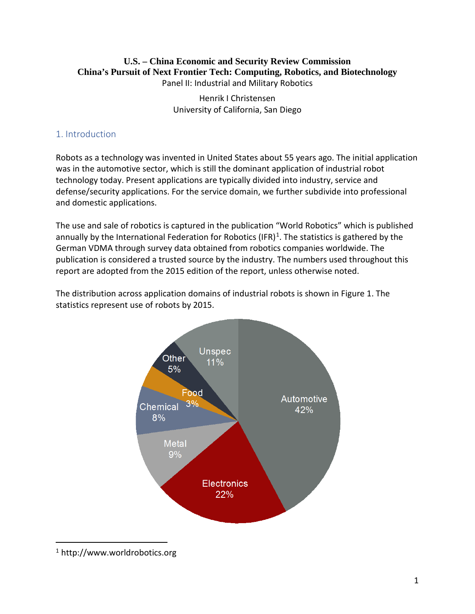#### **U.S. – China Economic and Security Review Commission China's Pursuit of Next Frontier Tech: Computing, Robotics, and Biotechnology** Panel II: Industrial and Military Robotics

Henrik I Christensen University of California, San Diego

## 1. Introduction

Robots as a technology was invented in United States about 55 years ago. The initial application was in the automotive sector, which is still the dominant application of industrial robot technology today. Present applications are typically divided into industry, service and defense/security applications. For the service domain, we further subdivide into professional and domestic applications.

The use and sale of robotics is captured in the publication "World Robotics" which is published annually by the International Federation for Robotics (IFR)<sup>[1](#page-0-0)</sup>. The statistics is gathered by the German VDMA through survey data obtained from robotics companies worldwide. The publication is considered a trusted source by the industry. The numbers used throughout this report are adopted from the 2015 edition of the report, unless otherwise noted.

The distribution across application domains of industrial robots is shown in Figure 1. The statistics represent use of robots by 2015.



<span id="page-0-0"></span> <sup>1</sup> http://www.worldrobotics.org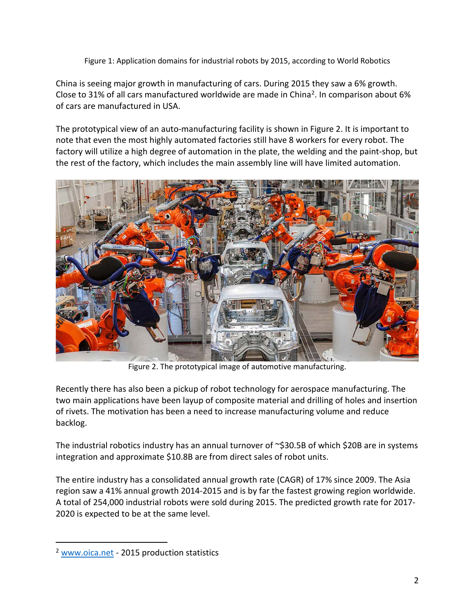Figure 1: Application domains for industrial robots by 2015, according to World Robotics

China is seeing major growth in manufacturing of cars. During 2015 they saw a 6% growth. Close to 31% of all cars manufactured worldwide are made in China[2.](#page-1-0) In comparison about 6% of cars are manufactured in USA.

The prototypical view of an auto-manufacturing facility is shown in Figure 2. It is important to note that even the most highly automated factories still have 8 workers for every robot. The factory will utilize a high degree of automation in the plate, the welding and the paint-shop, but the rest of the factory, which includes the main assembly line will have limited automation.



Figure 2. The prototypical image of automotive manufacturing.

Recently there has also been a pickup of robot technology for aerospace manufacturing. The two main applications have been layup of composite material and drilling of holes and insertion of rivets. The motivation has been a need to increase manufacturing volume and reduce backlog.

The industrial robotics industry has an annual turnover of  $\sim$ \$30.5B of which \$20B are in systems integration and approximate \$10.8B are from direct sales of robot units.

The entire industry has a consolidated annual growth rate (CAGR) of 17% since 2009. The Asia region saw a 41% annual growth 2014-2015 and is by far the fastest growing region worldwide. A total of 254,000 industrial robots were sold during 2015. The predicted growth rate for 2017- 2020 is expected to be at the same level.

<span id="page-1-0"></span><sup>&</sup>lt;sup>2</sup> [www.oica.net](http://www.oica.net/) - 2015 production statistics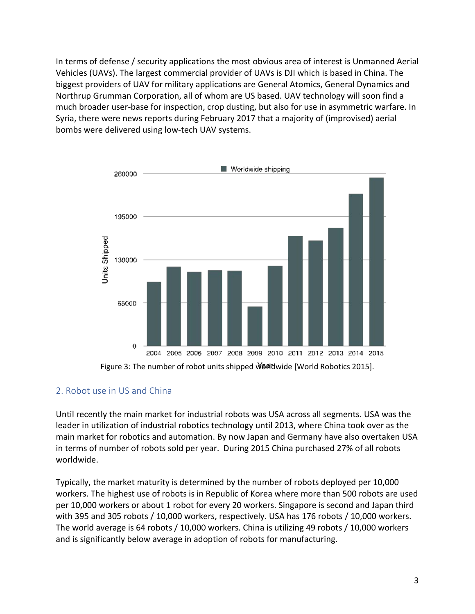In terms of defense / security applications the most obvious area of interest is Unmanned Aerial Vehicles (UAVs). The largest commercial provider of UAVs is DJI which is based in China. The biggest providers of UAV for military applications are General Atomics, General Dynamics and Northrup Grumman Corporation, all of whom are US based. UAV technology will soon find a much broader user-base for inspection, crop dusting, but also for use in asymmetric warfare. In Syria, there were news reports during February 2017 that a majority of (improvised) aerial bombs were delivered using low-tech UAV systems.



Figure 3: The number of robot units shipped Welldwide [World Robotics 2015].

### 2. Robot use in US and China

Until recently the main market for industrial robots was USA across all segments. USA was the leader in utilization of industrial robotics technology until 2013, where China took over as the main market for robotics and automation. By now Japan and Germany have also overtaken USA in terms of number of robots sold per year. During 2015 China purchased 27% of all robots worldwide.

Typically, the market maturity is determined by the number of robots deployed per 10,000 workers. The highest use of robots is in Republic of Korea where more than 500 robots are used per 10,000 workers or about 1 robot for every 20 workers. Singapore is second and Japan third with 395 and 305 robots / 10,000 workers, respectively. USA has 176 robots / 10,000 workers. The world average is 64 robots / 10,000 workers. China is utilizing 49 robots / 10,000 workers and is significantly below average in adoption of robots for manufacturing.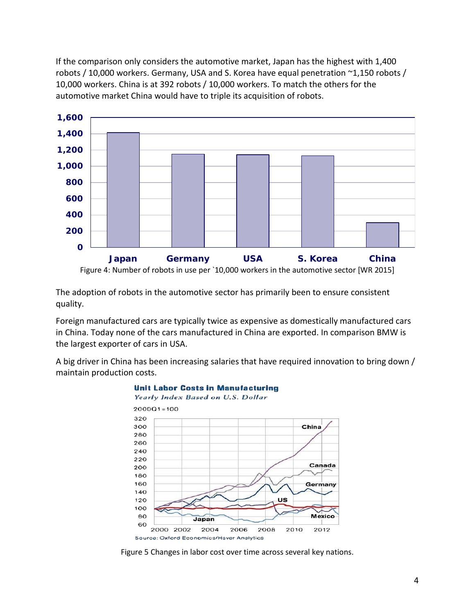If the comparison only considers the automotive market, Japan has the highest with 1,400 robots / 10,000 workers. Germany, USA and S. Korea have equal penetration ~1,150 robots / 10,000 workers. China is at 392 robots / 10,000 workers. To match the others for the automotive market China would have to triple its acquisition of robots.



The adoption of robots in the automotive sector has primarily been to ensure consistent quality.

Foreign manufactured cars are typically twice as expensive as domestically manufactured cars in China. Today none of the cars manufactured in China are exported. In comparison BMW is the largest exporter of cars in USA.

A big driver in China has been increasing salaries that have required innovation to bring down / maintain production costs.



#### **Unit Labor Costs in Manufacturing**

Figure 5 Changes in labor cost over time across several key nations.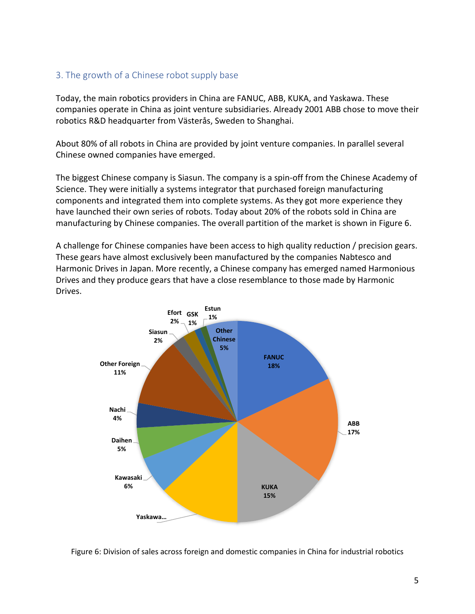#### 3. The growth of a Chinese robot supply base

Today, the main robotics providers in China are FANUC, ABB, KUKA, and Yaskawa. These companies operate in China as joint venture subsidiaries. Already 2001 ABB chose to move their robotics R&D headquarter from Västerås, Sweden to Shanghai.

About 80% of all robots in China are provided by joint venture companies. In parallel several Chinese owned companies have emerged.

The biggest Chinese company is Siasun. The company is a spin-off from the Chinese Academy of Science. They were initially a systems integrator that purchased foreign manufacturing components and integrated them into complete systems. As they got more experience they have launched their own series of robots. Today about 20% of the robots sold in China are manufacturing by Chinese companies. The overall partition of the market is shown in Figure 6.

A challenge for Chinese companies have been access to high quality reduction / precision gears. These gears have almost exclusively been manufactured by the companies Nabtesco and Harmonic Drives in Japan. More recently, a Chinese company has emerged named Harmonious Drives and they produce gears that have a close resemblance to those made by Harmonic Drives.



Figure 6: Division of sales across foreign and domestic companies in China for industrial robotics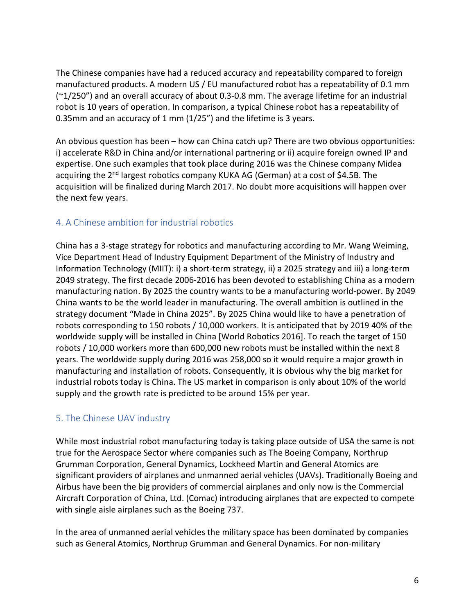The Chinese companies have had a reduced accuracy and repeatability compared to foreign manufactured products. A modern US / EU manufactured robot has a repeatability of 0.1 mm (~1/250") and an overall accuracy of about 0.3-0.8 mm. The average lifetime for an industrial robot is 10 years of operation. In comparison, a typical Chinese robot has a repeatability of 0.35mm and an accuracy of 1 mm (1/25") and the lifetime is 3 years.

An obvious question has been – how can China catch up? There are two obvious opportunities: i) accelerate R&D in China and/or international partnering or ii) acquire foreign owned IP and expertise. One such examples that took place during 2016 was the Chinese company Midea acquiring the 2<sup>nd</sup> largest robotics company KUKA AG (German) at a cost of \$4.5B. The acquisition will be finalized during March 2017. No doubt more acquisitions will happen over the next few years.

# 4. A Chinese ambition for industrial robotics

China has a 3-stage strategy for robotics and manufacturing according to Mr. Wang Weiming, Vice Department Head of Industry Equipment Department of the Ministry of Industry and Information Technology (MIIT): i) a short-term strategy, ii) a 2025 strategy and iii) a long-term 2049 strategy. The first decade 2006-2016 has been devoted to establishing China as a modern manufacturing nation. By 2025 the country wants to be a manufacturing world-power. By 2049 China wants to be the world leader in manufacturing. The overall ambition is outlined in the strategy document "Made in China 2025". By 2025 China would like to have a penetration of robots corresponding to 150 robots / 10,000 workers. It is anticipated that by 2019 40% of the worldwide supply will be installed in China [World Robotics 2016]. To reach the target of 150 robots / 10,000 workers more than 600,000 new robots must be installed within the next 8 years. The worldwide supply during 2016 was 258,000 so it would require a major growth in manufacturing and installation of robots. Consequently, it is obvious why the big market for industrial robots today is China. The US market in comparison is only about 10% of the world supply and the growth rate is predicted to be around 15% per year.

# 5. The Chinese UAV industry

While most industrial robot manufacturing today is taking place outside of USA the same is not true for the Aerospace Sector where companies such as The Boeing Company, Northrup Grumman Corporation, General Dynamics, Lockheed Martin and General Atomics are significant providers of airplanes and unmanned aerial vehicles (UAVs). Traditionally Boeing and Airbus have been the big providers of commercial airplanes and only now is the Commercial Aircraft Corporation of China, Ltd. (Comac) introducing airplanes that are expected to compete with single aisle airplanes such as the Boeing 737.

In the area of unmanned aerial vehicles the military space has been dominated by companies such as General Atomics, Northrup Grumman and General Dynamics. For non-military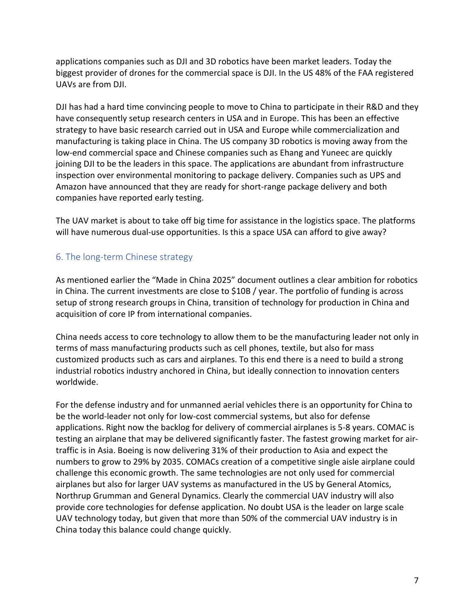applications companies such as DJI and 3D robotics have been market leaders. Today the biggest provider of drones for the commercial space is DJI. In the US 48% of the FAA registered UAVs are from DJI.

DJI has had a hard time convincing people to move to China to participate in their R&D and they have consequently setup research centers in USA and in Europe. This has been an effective strategy to have basic research carried out in USA and Europe while commercialization and manufacturing is taking place in China. The US company 3D robotics is moving away from the low-end commercial space and Chinese companies such as Ehang and Yuneec are quickly joining DJI to be the leaders in this space. The applications are abundant from infrastructure inspection over environmental monitoring to package delivery. Companies such as UPS and Amazon have announced that they are ready for short-range package delivery and both companies have reported early testing.

The UAV market is about to take off big time for assistance in the logistics space. The platforms will have numerous dual-use opportunities. Is this a space USA can afford to give away?

### 6. The long-term Chinese strategy

As mentioned earlier the "Made in China 2025" document outlines a clear ambition for robotics in China. The current investments are close to \$10B / year. The portfolio of funding is across setup of strong research groups in China, transition of technology for production in China and acquisition of core IP from international companies.

China needs access to core technology to allow them to be the manufacturing leader not only in terms of mass manufacturing products such as cell phones, textile, but also for mass customized products such as cars and airplanes. To this end there is a need to build a strong industrial robotics industry anchored in China, but ideally connection to innovation centers worldwide.

For the defense industry and for unmanned aerial vehicles there is an opportunity for China to be the world-leader not only for low-cost commercial systems, but also for defense applications. Right now the backlog for delivery of commercial airplanes is 5-8 years. COMAC is testing an airplane that may be delivered significantly faster. The fastest growing market for airtraffic is in Asia. Boeing is now delivering 31% of their production to Asia and expect the numbers to grow to 29% by 2035. COMACs creation of a competitive single aisle airplane could challenge this economic growth. The same technologies are not only used for commercial airplanes but also for larger UAV systems as manufactured in the US by General Atomics, Northrup Grumman and General Dynamics. Clearly the commercial UAV industry will also provide core technologies for defense application. No doubt USA is the leader on large scale UAV technology today, but given that more than 50% of the commercial UAV industry is in China today this balance could change quickly.